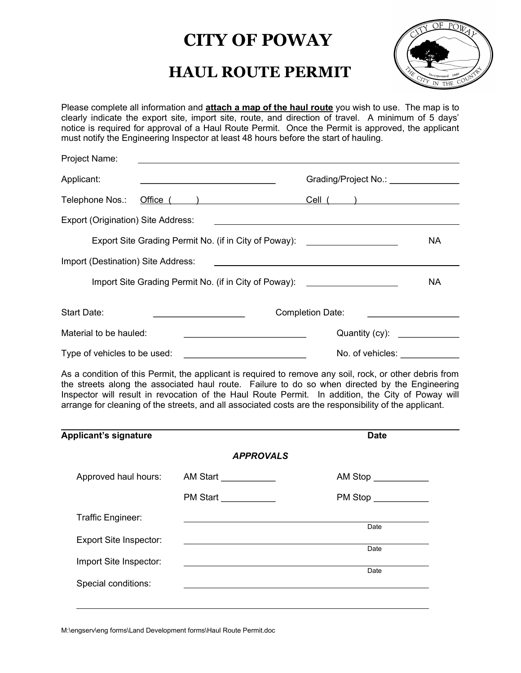## CITY OF POWAY

## HAUL ROUTE PERMIT



Please complete all information and **attach a map of the haul route** you wish to use. The map is to clearly indicate the export site, import site, route, and direction of travel. A minimum of 5 days' notice is required for approval of a Haul Route Permit. Once the Permit is approved, the applicant must notify the Engineering Inspector at least 48 hours before the start of hauling.

| Project Name:                                         |                                                             |                                                                                                                                                                                                                                                                                                                                                                                                                          |           |
|-------------------------------------------------------|-------------------------------------------------------------|--------------------------------------------------------------------------------------------------------------------------------------------------------------------------------------------------------------------------------------------------------------------------------------------------------------------------------------------------------------------------------------------------------------------------|-----------|
| Applicant:                                            |                                                             | Grading/Project No.: \\connect\)                                                                                                                                                                                                                                                                                                                                                                                         |           |
| Telephone Nos.:                                       | Office $($ $)$                                              | $Cell$ $\qquad$                                                                                                                                                                                                                                                                                                                                                                                                          |           |
| Export (Origination) Site Address:                    |                                                             |                                                                                                                                                                                                                                                                                                                                                                                                                          |           |
| Export Site Grading Permit No. (if in City of Poway): |                                                             |                                                                                                                                                                                                                                                                                                                                                                                                                          | NA.       |
| Import (Destination) Site Address:                    |                                                             |                                                                                                                                                                                                                                                                                                                                                                                                                          |           |
|                                                       | Import Site Grading Permit No. (if in City of Poway):       | <u> 1986 - Jan Barbarat, manala</u>                                                                                                                                                                                                                                                                                                                                                                                      | <b>NA</b> |
| Start Date:                                           |                                                             | <b>Completion Date:</b>                                                                                                                                                                                                                                                                                                                                                                                                  |           |
| Material to be hauled:                                | the control of the control of the control of the control of | Quantity (cy): _____________                                                                                                                                                                                                                                                                                                                                                                                             |           |
| Type of vehicles to be used:                          | <u> 1999 - Johann Barbara, martin a</u>                     | No. of vehicles: <u>___________</u>                                                                                                                                                                                                                                                                                                                                                                                      |           |
|                                                       |                                                             | As a condition of this Permit, the applicant is required to remove any soil, rock, or other debris from<br>the streets along the associated haul route. Failure to do so when directed by the Engineering<br>Inspector will result in revocation of the Haul Route Permit. In addition, the City of Poway will<br>arrange for cleaning of the streets, and all associated costs are the responsibility of the applicant. |           |
| <b>Applicant's signature</b>                          |                                                             | <b>Date</b>                                                                                                                                                                                                                                                                                                                                                                                                              |           |
|                                                       | <b>APPROVALS</b>                                            |                                                                                                                                                                                                                                                                                                                                                                                                                          |           |
| Approved haul hours:                                  | AM Start ___________                                        | AM Stop <b>AM</b> Stop                                                                                                                                                                                                                                                                                                                                                                                                   |           |
|                                                       | PM Start                                                    | PM Stop                                                                                                                                                                                                                                                                                                                                                                                                                  |           |
| Traffic Engineer:                                     |                                                             |                                                                                                                                                                                                                                                                                                                                                                                                                          |           |
| <b>Export Site Inspector:</b>                         |                                                             | Date                                                                                                                                                                                                                                                                                                                                                                                                                     |           |
| Import Site Inspector:                                |                                                             | Date                                                                                                                                                                                                                                                                                                                                                                                                                     |           |
|                                                       |                                                             | Date                                                                                                                                                                                                                                                                                                                                                                                                                     |           |
| Special conditions:                                   |                                                             |                                                                                                                                                                                                                                                                                                                                                                                                                          |           |

M:\engserv\eng forms\Land Development forms\Haul Route Permit.doc